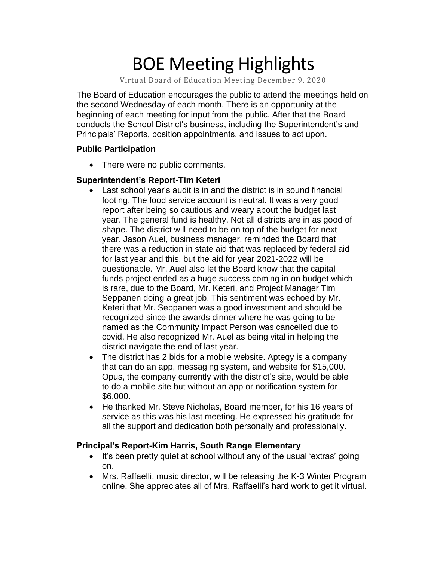# BOE Meeting Highlights

Virtual Board of Education Meeting December 9, 2020

 The Board of Education encourages the public to attend the meetings held on the second Wednesday of each month. There is an opportunity at the beginning of each meeting for input from the public. After that the Board conducts the School District's business, including the Superintendent's and Principals' Reports, position appointments, and issues to act upon.

### **Public Participation**

• There were no public comments.

### **Superintendent's Report-Tim Keteri**

- Last school year's audit is in and the district is in sound financial footing. The food service account is neutral. It was a very good report after being so cautious and weary about the budget last year. The general fund is healthy. Not all districts are in as good of shape. The district will need to be on top of the budget for next year. Jason Auel, business manager, reminded the Board that there was a reduction in state aid that was replaced by federal aid for last year and this, but the aid for year 2021-2022 will be questionable. Mr. Auel also let the Board know that the capital funds project ended as a huge success coming in on budget which is rare, due to the Board, Mr. Keteri, and Project Manager Tim Seppanen doing a great job. This sentiment was echoed by Mr. Keteri that Mr. Seppanen was a good investment and should be recognized since the awards dinner where he was going to be named as the Community Impact Person was cancelled due to covid. He also recognized Mr. Auel as being vital in helping the district navigate the end of last year.
- The district has 2 bids for a mobile website. Aptegy is a company that can do an app, messaging system, and website for \$15,000. Opus, the company currently with the district's site, would be able to do a mobile site but without an app or notification system for \$6,000.
- He thanked Mr. Steve Nicholas, Board member, for his 16 years of service as this was his last meeting. He expressed his gratitude for all the support and dedication both personally and professionally.

### **Principal's Report-Kim Harris, South Range Elementary**

- • It's been pretty quiet at school without any of the usual 'extras' going on.
- • Mrs. Raffaelli, music director, will be releasing the K-3 Winter Program online. She appreciates all of Mrs. Raffaelli's hard work to get it virtual.